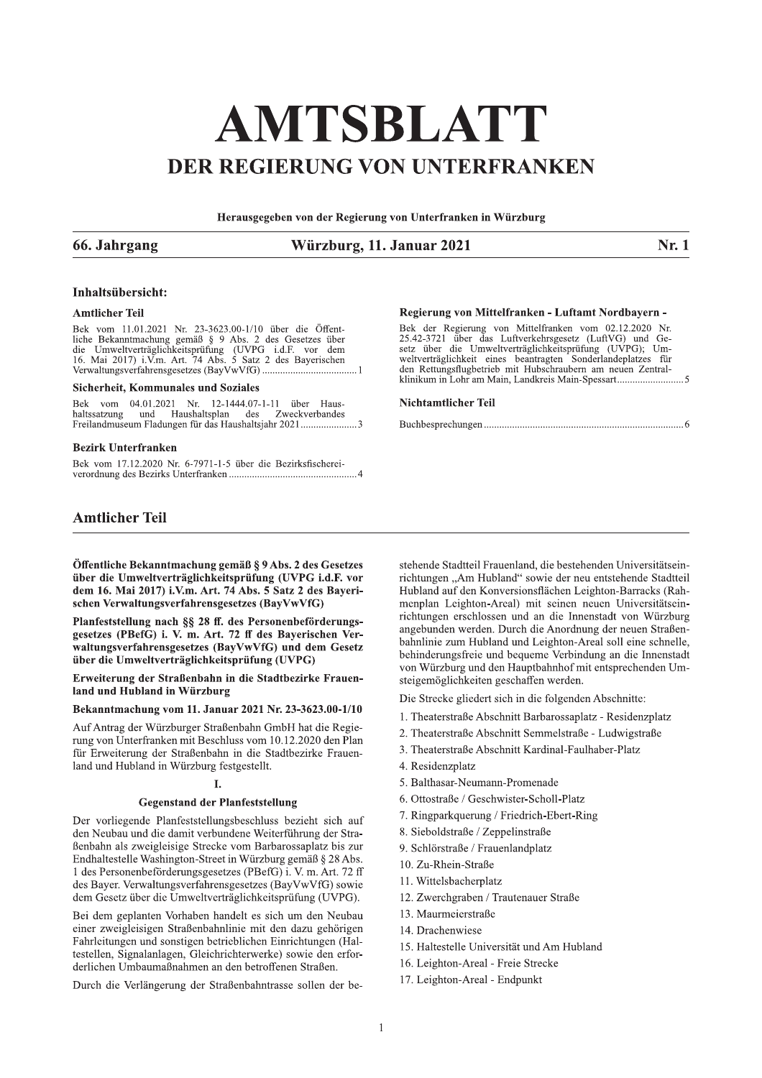# AMTSBLATT DER REGIERUNG VON UNTERFRANKEN

Herausgegeben von der Regierung von Unterfranken in Würzburg

# 66. Jahrgang

# Würzburg, 11. Januar 2021

Nr. 1

# Inhaltsübersicht:

# **Amtlicher Teil**

Bek vom 11.01.2021 Nr. 23-3623.00-1/10 über die Öffent-Bek vom 11.01.2021 Nr. 23-3623.00-1/10 uber die Oftent-<br>liche Bekanntmachung gemäß § 9 Abs. 2 des Gesetzes über<br>die Umweltverträglichkeitsprüfung (UVPG i.d.F. vor dem<br>16. Mai 2017) i.V.m. Art. 74 Abs. 5 Satz 2 des Bayerisc

# Sicherheit, Kommunales und Soziales

Bek vom 04.01.2021 Nr. 12-1444.07-1-11 über Haushaltssatzung und Haushaltsplan des Zweckverbandes Freilandmuseum Fladungen für das Haushaltsjahr 2021............................3

#### **Bezirk Unterfranken**

Bek vom 17.12.2020 Nr. 6-7971-1-5 über die Bezirksfischerei-

# **Amtlicher Teil**

Öffentliche Bekanntmachung gemäß § 9 Abs. 2 des Gesetzes über die Umweltverträglichkeitsprüfung (UVPG i.d.F. vor dem 16. Mai 2017) i.V.m. Art. 74 Abs. 5 Satz 2 des Bayerischen Verwaltungsverfahrensgesetzes (BayVwVfG)

Planfeststellung nach §§ 28 ff. des Personenbeförderungsgesetzes (PBefG) i. V. m. Art. 72 ff des Bayerischen Verwaltungsverfahrensgesetzes (BayVwVfG) und dem Gesetz über die Umweltverträglichkeitsprüfung (UVPG)

Erweiterung der Straßenbahn in die Stadtbezirke Frauenland und Hubland in Würzburg

# Bekanntmachung vom 11. Januar 2021 Nr. 23-3623.00-1/10

Auf Antrag der Würzburger Straßenbahn GmbH hat die Regierung von Unterfranken mit Beschluss vom 10.12.2020 den Plan für Erweiterung der Straßenbahn in die Stadtbezirke Frauenland und Hubland in Würzburg festgestellt.

# $\mathbf{I}$

# **Gegenstand der Planfeststellung**

Der vorliegende Planfeststellungsbeschluss bezieht sich auf den Neubau und die damit verbundene Weiterführung der Straßenbahn als zweigleisige Strecke vom Barbarossaplatz bis zur Endhaltestelle Washington-Street in Würzburg gemäß § 28 Abs. 1 des Personenbeförderungsgesetzes (PBefG) i. V. m. Art. 72 ff des Bayer. Verwaltungsverfahrensgesetzes (BayVwVfG) sowie dem Gesetz über die Umweltverträglichkeitsprüfung (UVPG).

Bei dem geplanten Vorhaben handelt es sich um den Neubau einer zweigleisigen Straßenbahnlinie mit den dazu gehörigen Fahrleitungen und sonstigen betrieblichen Einrichtungen (Haltestellen, Signalanlagen, Gleichrichterwerke) sowie den erforderlichen Umbaumaßnahmen an den betroffenen Straßen.

Durch die Verlängerung der Straßenbahntrasse sollen der be-

## Regierung von Mittelfranken - Luftamt Nordbayern -

Bek der Regierung von Mittelfranken vom 02.12.2020 Nr.<br>25.42-3721 über das Luftverkehrsgesetz (LuftVG) und Gesetz über die Umweltverträglichkeitsprüfung (UVPG); Umweltverträglichkeit eines beantragten Sonderlandeplatzes fü 

#### **Nichtamtlicher Teil**

stehende Stadtteil Frauenland, die bestehenden Universitätseinrichtungen "Am Hubland" sowie der neu entstehende Stadtteil Hubland auf den Konversionsflächen Leighton-Barracks (Rahmenplan Leighton-Areal) mit seinen neuen Universitätseinrichtungen erschlossen und an die Innenstadt von Würzburg angebunden werden. Durch die Anordnung der neuen Straßenbahnlinie zum Hubland und Leighton-Areal soll eine schnelle, behinderungsfreie und bequeme Verbindung an die Innenstadt von Würzburg und den Hauptbahnhof mit entsprechenden Umsteigemöglichkeiten geschaffen werden.

Die Strecke gliedert sich in die folgenden Abschnitte:

- 1. Theaterstraße Abschnitt Barbarossaplatz Residenzplatz
- 2. Theaterstraße Abschnitt Semmelstraße Ludwigstraße
- 3. Theaterstraße Abschnitt Kardinal-Faulhaber-Platz
- 4. Residenzplatz
- 5. Balthasar-Neumann-Promenade
- 6. Ottostraße / Geschwister-Scholl-Platz
- 7. Ringparkquerung / Friedrich-Ebert-Ring
- 8. Sieboldstraße / Zeppelinstraße
- 9. Schlörstraße / Frauenlandplatz
- 10. Zu-Rhein-Straße
- 11. Wittelsbacherplatz
- 12. Zwerchgraben / Trautenauer Straße
- 13 Maurmeierstraße
- 14. Drachenwiese
- 15. Haltestelle Universität und Am Hubland
- 16. Leighton-Areal Freie Strecke
- 17. Leighton-Areal Endpunkt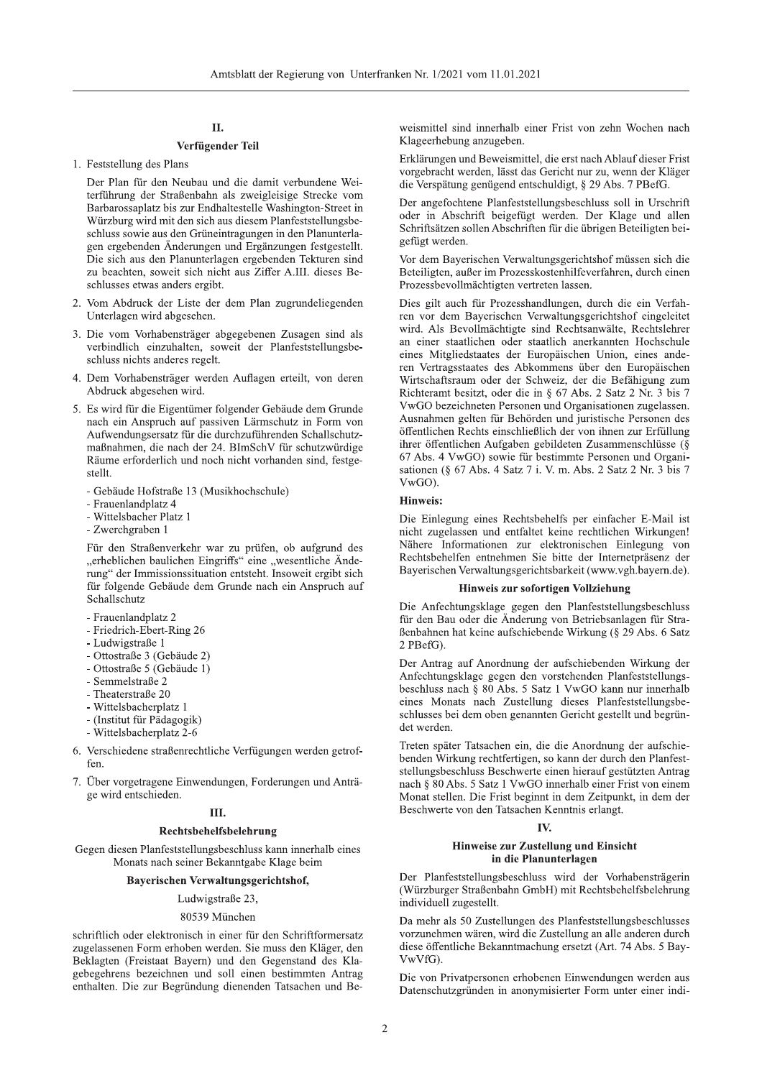# Π.

# Verfügender Teil

1. Feststellung des Plans

Der Plan für den Neubau und die damit verbundene Weiterführung der Straßenbahn als zweigleisige Strecke vom Barbarossaplatz bis zur Endhaltestelle Washington-Street in Würzburg wird mit den sich aus diesem Planfeststellungsbeschluss sowie aus den Grüneintragungen in den Planunterlagen ergebenden Änderungen und Ergänzungen festgestellt. Die sich aus den Planunterlagen ergebenden Tekturen sind zu beachten, soweit sich nicht aus Ziffer A.III. dieses Beschlusses etwas anders ergibt.

- 2. Vom Abdruck der Liste der dem Plan zugrundeliegenden Unterlagen wird abgesehen.
- 3. Die vom Vorhabensträger abgegebenen Zusagen sind als verbindlich einzuhalten, soweit der Planfeststellungsbeschluss nichts anderes regelt.
- 4. Dem Vorhabensträger werden Auflagen erteilt, von deren Abdruck abgesehen wird.
- 5. Es wird für die Eigentümer folgender Gebäude dem Grunde nach ein Anspruch auf passiven Lärmschutz in Form von Aufwendungsersatz für die durchzuführenden Schallschutzmaßnahmen, die nach der 24. BImSchV für schutzwürdige Räume erforderlich und noch nicht vorhanden sind, festgestellt.
	- Gebäude Hofstraße 13 (Musikhochschule)
	- Frauenlandplatz 4
	- Wittelsbacher Platz 1
	- Zwerchgraben 1

Für den Straßenverkehr war zu prüfen, ob aufgrund des "erheblichen baulichen Eingriffs" eine "wesentliche Änderung" der Immissionssituation entsteht. Insoweit ergibt sich für folgende Gebäude dem Grunde nach ein Anspruch auf Schallschutz

- Frauenlandplatz 2
- Friedrich-Ebert-Ring 26
- Ludwigstraße 1
- Ottostraße 3 (Gebäude 2)
- Ottostraße 5 (Gebäude 1)
- Semmelstraße 2
- Theaterstraße 20
- Wittelsbacherplatz 1
- (Institut für Pädagogik)
- Wittelsbacherplatz 2-6
- 6. Verschiedene straßenrechtliche Verfügungen werden getroffen.
- 7. Über vorgetragene Einwendungen, Forderungen und Anträge wird entschieden.

# Ш.

#### Rechtsbehelfsbelehrung

Gegen diesen Planfeststellungsbeschluss kann innerhalb eines Monats nach seiner Bekanntgabe Klage beim

# Bayerischen Verwaltungsgerichtshof,

# Ludwigstraße 23,

80539 München

schriftlich oder elektronisch in einer für den Schriftformersatz zugelassenen Form erhoben werden. Sie muss den Kläger, den Beklagten (Freistaat Bayern) und den Gegenstand des Klagebegehrens bezeichnen und soll einen bestimmten Antrag enthalten. Die zur Begründung dienenden Tatsachen und Beweismittel sind innerhalb einer Frist von zehn Wochen nach Klageerhebung anzugeben.

Erklärungen und Beweismittel, die erst nach Ablauf dieser Frist vorgebracht werden, lässt das Gericht nur zu, wenn der Kläger die Verspätung genügend entschuldigt, § 29 Abs. 7 PBefG.

Der angefochtene Planfeststellungsbeschluss soll in Urschrift oder in Abschrift beigefügt werden. Der Klage und allen Schriftsätzen sollen Abschriften für die übrigen Beteiligten beigefügt werden.

Vor dem Bayerischen Verwaltungsgerichtshof müssen sich die Beteiligten, außer im Prozesskostenhilfeverfahren, durch einen Prozessbevollmächtigten vertreten lassen.

Dies gilt auch für Prozesshandlungen, durch die ein Verfahren vor dem Bayerischen Verwaltungsgerichtshof eingeleitet wird. Als Bevollmächtigte sind Rechtsanwälte, Rechtslehrer an einer staatlichen oder staatlich anerkannten Hochschule eines Mitgliedstaates der Europäischen Union, eines anderen Vertragsstaates des Abkommens über den Europäischen Wirtschaftsraum oder der Schweiz, der die Befähigung zum Richteramt besitzt, oder die in § 67 Abs. 2 Satz 2 Nr. 3 bis 7 VwGO bezeichneten Personen und Organisationen zugelassen. Ausnahmen gelten für Behörden und juristische Personen des öffentlichen Rechts einschließlich der von ihnen zur Erfüllung ihrer öffentlichen Aufgaben gebildeten Zusammenschlüsse (§ 67 Abs. 4 VwGO) sowie für bestimmte Personen und Organisationen (§ 67 Abs. 4 Satz 7 i. V. m. Abs. 2 Satz 2 Nr. 3 bis 7 VwGO).

# Hinweis:

Die Einlegung eines Rechtsbehelfs per einfacher E-Mail ist nicht zugelassen und entfaltet keine rechtlichen Wirkungen! Nähere Informationen zur elektronischen Einlegung von Rechtsbehelfen entnehmen Sie bitte der Internetpräsenz der Bayerischen Verwaltungsgerichtsbarkeit (www.vgh.bayern.de).

#### Hinweis zur sofortigen Vollziehung

Die Anfechtungsklage gegen den Planfeststellungsbeschluss für den Bau oder die Änderung von Betriebsanlagen für Straßenbahnen hat keine aufschiebende Wirkung (§ 29 Abs. 6 Satz  $2$  PBefG).

Der Antrag auf Anordnung der aufschiebenden Wirkung der Anfechtungsklage gegen den vorstehenden Planfeststellungsbeschluss nach § 80 Abs. 5 Satz 1 VwGO kann nur innerhalb eines Monats nach Zustellung dieses Planfeststellungsbeschlusses bei dem oben genannten Gericht gestellt und begründet werden.

Treten später Tatsachen ein, die die Anordnung der aufschiebenden Wirkung rechtfertigen, so kann der durch den Planfeststellungsbeschluss Beschwerte einen hierauf gestützten Antrag nach § 80 Abs. 5 Satz 1 VwGO innerhalb einer Frist von einem Monat stellen. Die Frist beginnt in dem Zeitpunkt, in dem der Beschwerte von den Tatsachen Kenntnis erlangt.

# Hinweise zur Zustellung und Einsicht in die Planunterlagen

Der Planfeststellungsbeschluss wird der Vorhabensträgerin (Würzburger Straßenbahn GmbH) mit Rechtsbehelfsbelehrung individuell zugestellt.

Da mehr als 50 Zustellungen des Planfeststellungsbeschlusses vorzunehmen wären, wird die Zustellung an alle anderen durch diese öffentliche Bekanntmachung ersetzt (Art. 74 Abs. 5 Bay-VwVfG).

Die von Privatpersonen erhobenen Einwendungen werden aus Datenschutzgründen in anonymisierter Form unter einer indi